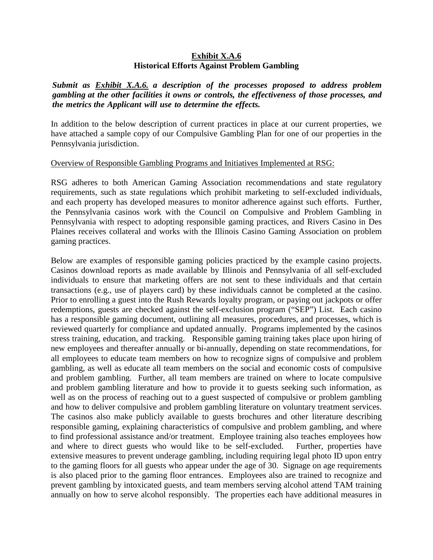### **Exhibit X.A.6 Historical Efforts Against Problem Gambling**

*Submit as Exhibit X.A.6. a description of the processes proposed to address problem gambling at the other facilities it owns or controls, the effectiveness of those processes, and the metrics the Applicant will use to determine the effects.*

In addition to the below description of current practices in place at our current properties, we have attached a sample copy of our Compulsive Gambling Plan for one of our properties in the Pennsylvania jurisdiction.

#### Overview of Responsible Gambling Programs and Initiatives Implemented at RSG:

RSG adheres to both American Gaming Association recommendations and state regulatory requirements, such as state regulations which prohibit marketing to self-excluded individuals, and each property has developed measures to monitor adherence against such efforts. Further, the Pennsylvania casinos work with the Council on Compulsive and Problem Gambling in Pennsylvania with respect to adopting responsible gaming practices, and Rivers Casino in Des Plaines receives collateral and works with the Illinois Casino Gaming Association on problem gaming practices.

Below are examples of responsible gaming policies practiced by the example casino projects. Casinos download reports as made available by Illinois and Pennsylvania of all self-excluded individuals to ensure that marketing offers are not sent to these individuals and that certain transactions (e.g., use of players card) by these individuals cannot be completed at the casino. Prior to enrolling a guest into the Rush Rewards loyalty program, or paying out jackpots or offer redemptions, guests are checked against the self-exclusion program ("SEP") List. Each casino has a responsible gaming document, outlining all measures, procedures, and processes, which is reviewed quarterly for compliance and updated annually. Programs implemented by the casinos stress training, education, and tracking. Responsible gaming training takes place upon hiring of new employees and thereafter annually or bi-annually, depending on state recommendations, for all employees to educate team members on how to recognize signs of compulsive and problem gambling, as well as educate all team members on the social and economic costs of compulsive and problem gambling. Further, all team members are trained on where to locate compulsive and problem gambling literature and how to provide it to guests seeking such information, as well as on the process of reaching out to a guest suspected of compulsive or problem gambling and how to deliver compulsive and problem gambling literature on voluntary treatment services. The casinos also make publicly available to guests brochures and other literature describing responsible gaming, explaining characteristics of compulsive and problem gambling, and where to find professional assistance and/or treatment. Employee training also teaches employees how and where to direct guests who would like to be self-excluded. Further, properties have extensive measures to prevent underage gambling, including requiring legal photo ID upon entry to the gaming floors for all guests who appear under the age of 30. Signage on age requirements is also placed prior to the gaming floor entrances. Employees also are trained to recognize and prevent gambling by intoxicated guests, and team members serving alcohol attend TAM training annually on how to serve alcohol responsibly. The properties each have additional measures in